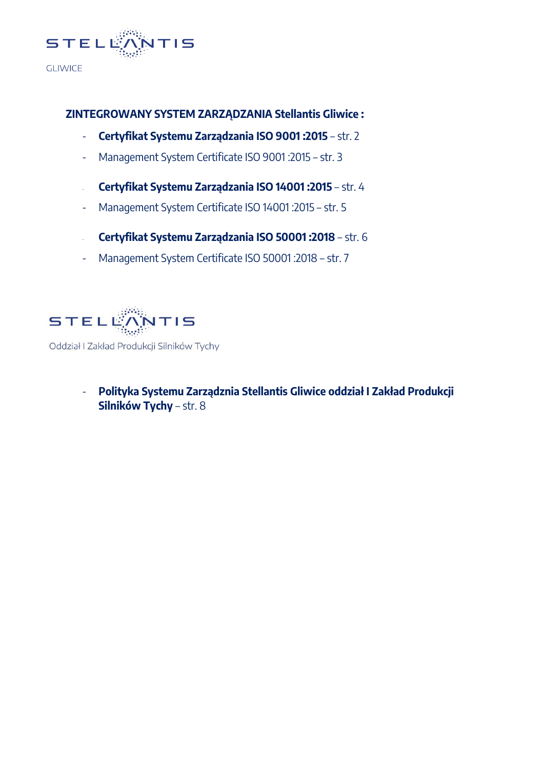

#### **ZINTEGROWANY SYSTEM ZARZĄDZANIA Stellantis Gliwice :**

- **Certyfikat Systemu Zarządzania ISO 9001 :2015** str. 2
- Management System Certificate ISO 9001 :2015 str. 3
- **Certyfikat Systemu Zarządzania ISO 14001 :2015** str. 4
- Management System Certificate ISO 14001 :2015 str. 5
- **Certyfikat Systemu Zarządzania ISO 50001 :2018** str. 6
- Management System Certificate ISO 50001 :2018 str. 7



Oddział I Zakład Produkcji Silników Tychy

- **Polityka Systemu Zarządznia Stellantis Gliwice oddział I Zakład Produkcji Silników Tychy** – str. 8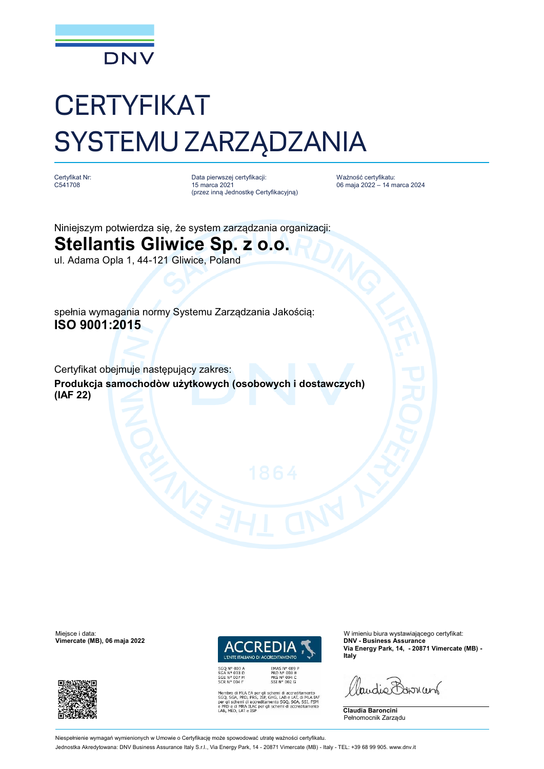

## **CERTYFIKAT** SYSTEMU ZARZĄDZANIA

Certyfikat Nr: C541708

Data pierwszej certyfikacji: 15 marca 2021 (przez inną Jednostkę Certyfikacyjną) Ważność certyfikatu: 06 maja 2022 – 14 marca 2024

Niniejszym potwierdza się, że system zarządzania organizacji:

#### **Stellantis Gliwice Sp. z o.o.**

ul. Adama Opla 1, 44-121 Gliwice, Poland

spełnia wymagania normy Systemu Zarządzania Jakością: **ISO 9001:2015**

Certyfikat obejmuje następujący zakres: **Produkcja samochodòw użytkowych (osobowych i dostawczych) (IAF 22)**

 $V$ imercate (MB), 06 maja 2022





EMAS Nº 009 P<br>PRD Nº 003 B<br>PRS Nº 094 C<br>SSI Nº 002 G

i MLA EA per gli schemi di accreditamento<br>, PRD, PRS, ISP, GHG, LAB e LAT, di MLA IAF<br>iemi di accreditamento SGQ, SGA, SSI, FSM<br>i MRA ILAC per gli schemi di accreditamento<br>, LAT e ISP

Miejsce i data: Wimieniu biura wystawiającego certyfikat:<br>
Vimieniu biura wystawiającego certyfikat:<br>
Vimieniu biura wystawiającego certyfikat: **Via Energy Park, 14, - 20871 Vimercate (MB) - Italy**

landie Bornun



Pełnomocnik Zarządu

Niespełnienie wymagań wymienionych w Umowie o Certyfikację może spowodować utratę ważności certyfikatu.

Jednostka Akredytowana: DNV Business Assurance Italy S.r.l., Via Energy Park, 14 - 20871 Vimercate (MB) - Italy - TEL: +39 68 99 905. [www.dnv.it](http://www.dnv.it)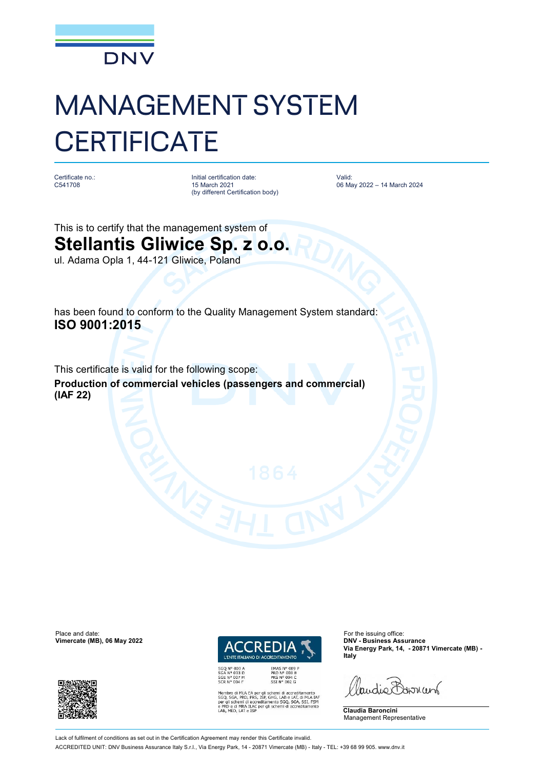

# MANAGEMENT SYSTEM **CERTIFICATE**

Certificate no.: C541708

Initial certification date: 15 March 2021 (by different Certification body) Valid: 06 May 2022 – 14 March 2024

This is to certify that the management system of **Stellantis Gliwice Sp. z o.o.** ul. Adama Opla 1, 44-121 Gliwice, Poland

has been found to conform to the Quality Management System standard: **ISO 9001:2015**

This certificate is valid for the following scope: **Production of commercial vehicles (passengers and commercial) (IAF 22)**

Place and date: For the issuing office:<br> **Place and date:** For the issuing office:<br> **Place and date:** For the issuing office:<br> **Place and date:** For the issuing office:  $V$ imercate (MB), 06 May 2022





EMAS Nº 009 P<br>PRD Nº 003 B<br>PRS Nº 094 C<br>SSI Nº 002 G MLA EA per gli schemi di accreditamento<br>PRD, PRS, ISP, GHG, LAB e LAT, di MLA IAF<br>emi di accreditamento SGQ, SGA, SSI, FSM<br>MRA ILAC per gli schemi di accreditamento **Via Energy Park, 14, - 20871 Vimercate (MB) - Italy**

landie Barnant

**Claudia Baroncini** Management Representative

Lack of fulfilment of conditions as set out in the Certification Agreement may render this Certificate invalid. ACCREDITED UNIT: DNV Business Assurance Italy S.r.l., Via Energy Park, 14 - 20871 Vimercate (MB) - Italy - TEL: +39 68 99 905. [www.dnv.it](http://www.dnv.it)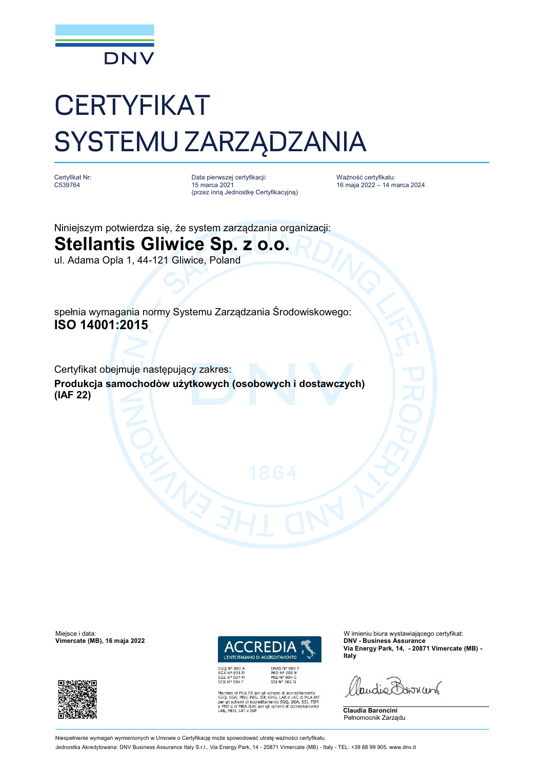

## **CERTYFIKAT** SYSTEMU ZARZĄDZANIA

Certyfikat Nr: C539764

Data pierwszej certyfikacji: 15 marca 2021 (przez inną Jednostkę Certyfikacyjną) Ważność certyfikatu: 16 maja 2022 – 14 marca 2024

Niniejszym potwierdza się, że system zarządzania organizacji:

### **Stellantis Gliwice Sp. z o.o.**

ul. Adama Opla 1, 44-121 Gliwice, Poland

spełnia wymagania normy Systemu Zarządzania Środowiskowego: **ISO 14001:2015**

Certyfikat obejmuje następujący zakres: **Produkcja samochodòw użytkowych (osobowych i dostawczych) (IAF 22)**

 $V$ imercate (MB), 16 maja 2022





EMAS Nº 009 P<br>PRD Nº 003 B<br>PRS Nº 094 C<br>SSI Nº 002 G i MLA EA per gli schemi di accreditamento<br>, PRD, PRS, ISP, GHG, LAB e LAT, di MLA IAF<br>iemi di accreditamento SGQ, SGA, SSI, FSM<br>i MRA ILAC per gli schemi di accreditamento<br>, LAT e ISP

Miejsce i data: Wimieniu biura wystawiającego certyfikat:<br>
Vimieniu biura wystawiającego certyfikat:<br>
Vimieniu biura wystawiającego certyfikat: **Via Energy Park, 14, - 20871 Vimercate (MB) - Italy**

landie Barnant



**Claudia Baroncini** Pełnomocnik Zarządu

Niespełnienie wymagań wymienionych w Umowie o Certyfikację może spowodować utratę ważności certyfikatu.

Jednostka Akredytowana: DNV Business Assurance Italy S.r.l., Via Energy Park, 14 - 20871 Vimercate (MB) - Italy - TEL: +39 68 99 905. [www.dnv.it](http://www.dnv.it)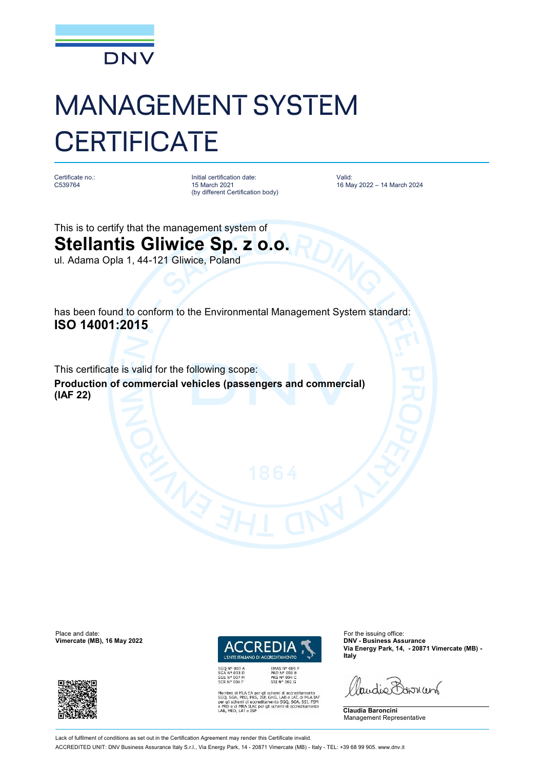

# MANAGEMENT SYSTEM **CERTIFICATE**

Certificate no.: C539764

Initial certification date: 15 March 2021 (by different Certification body) Valid: 16 May 2022 – 14 March 2024

This is to certify that the management system of **Stellantis Gliwice Sp. z o.o.** ul. Adama Opla 1, 44-121 Gliwice, Poland

has been found to conform to the Environmental Management System standard: **ISO 14001:2015**

This certificate is valid for the following scope: **Production of commercial vehicles (passengers and commercial) (IAF 22)**

Place and date: For the issuing office:<br> **Place and date:** For the issuing office:<br> **Place and date:** For the issuing office:<br> **Place and date:** For the issuing office:  $V$ imercate (MB), 16 May 2022





EMAS Nº 009 P<br>PRD Nº 003 B<br>PRS Nº 094 C<br>SSI Nº 002 G MLA EA per gli schemi di accreditamento<br>PRD, PRS, ISP, GHG, LAB e LAT, di MLA IAF<br>emi di accreditamento SGQ, SGA, SSI, FSM<br>MRA ILAC per gli schemi di accreditamento<br>LAT e ISP **Via Energy Park, 14, - 20871 Vimercate (MB) - Italy**

landie Barnant

**Claudia Baroncini** Management Representative

Lack of fulfilment of conditions as set out in the Certification Agreement may render this Certificate invalid.

ACCREDITED UNIT: DNV Business Assurance Italy S.r.l., Via Energy Park, 14 - 20871 Vimercate (MB) - Italy - TEL: +39 68 99 905. [www.dnv.it](http://www.dnv.it)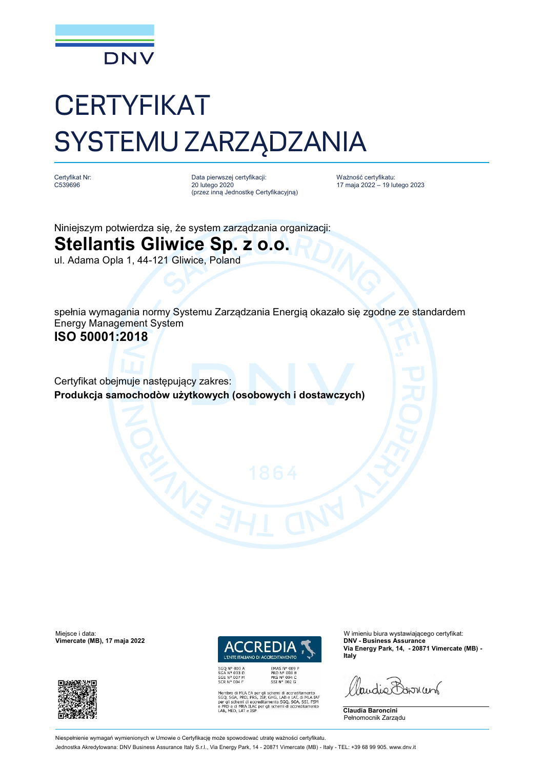

## **CERTYFIKAT** SYSTEMU ZARZĄDZANIA

Certyfikat Nr: C539696

Data pierwszej certyfikacji: 20 lutego 2020 (przez inną Jednostkę Certyfikacyjną) Ważność certyfikatu: 17 maja 2022 – 19 lutego 2023

Niniejszym potwierdza się, że system zarządzania organizacji:

### **Stellantis Gliwice Sp. z o.o.**

ul. Adama Opla 1, 44-121 Gliwice, Poland

spełnia wymagania normy Systemu Zarządzania Energią okazało się zgodne ze standardem Energy Management System **ISO 50001:2018**

Certyfikat obejmuje następujący zakres: **Produkcja samochodòw użytkowych (osobowych i dostawczych)**

 $V$ imercate (MB), 17 maja 2022





EMAS Nº 009 P<br>PRD Nº 003 B<br>PRS Nº 094 C<br>SSI Nº 002 G

**Via Energy Park, 14, - 20871 Vimercate (MB) - Italy**

landie Barnant



Pełnomocnik Zarządu

Miejsce i data: Wimieniu biura wystawiającego certyfikat:<br>
Vimieniu biura wystawiającego certyfikat:<br>
Vimieniu biura wystawiającego certyfikat:

di MLA EA per gli schemi di accreditamento<br>A, PRD, PRS, ISP, GHG, LAB e LAT, di MLA IAF<br>chemi di accreditamento SGQ, SGA, SSI, FSM<br>di MRA ILAC per gli schemi di accreditamento<br>D, LAT e ISP

Niespełnienie wymagań wymienionych w Umowie o Certyfikację może spowodować utratę ważności certyfikatu. Jednostka Akredytowana: DNV Business Assurance Italy S.r.l., Via Energy Park, 14 - 20871 Vimercate (MB) - Italy - TEL: +39 68 99 905. [www.dnv.it](http://www.dnv.it)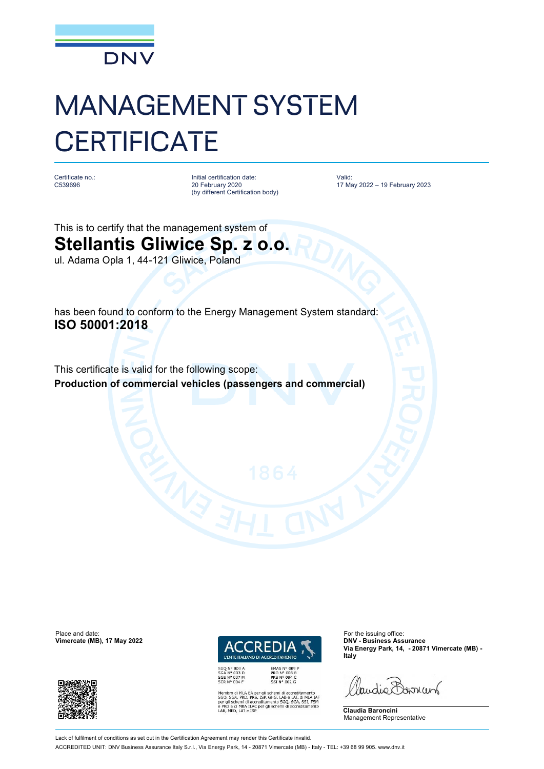

# MANAGEMENT SYSTEM **CERTIFICATE**

Certificate no.: C539696

Initial certification date: 20 February 2020 (by different Certification body) Valid: 17 May 2022 – 19 February 2023

This is to certify that the management system of **Stellantis Gliwice Sp. z o.o.** ul. Adama Opla 1, 44-121 Gliwice, Poland

has been found to conform to the Energy Management System standard: **ISO 50001:2018**

This certificate is valid for the following scope: **Production of commercial vehicles (passengers and commercial)**

Place and date: For the issuing office:<br> **Place and date:** For the issuing office:<br> **Place and date:** For the issuing office:<br> **Place and date:** For the issuing office:  $V$ imercate (MB), 17 May 2022





MLA EA per gli schemi di accreditamento<br>PRD, PRS, ISP, GHG, LAB e LAT, di MLA IAF<br>emi di accreditamento SGQ, SGA, SSI, FSM<br>MRA ILAC per gli schemi di accreditamento

**Via Energy Park, 14, - 20871 Vimercate (MB) - Italy**

landie Bornun

**Claudia Baroncini** Management Representative

Lack of fulfilment of conditions as set out in the Certification Agreement may render this Certificate invalid. ACCREDITED UNIT: DNV Business Assurance Italy S.r.l., Via Energy Park, 14 - 20871 Vimercate (MB) - Italy - TEL: +39 68 99 905. [www.dnv.it](http://www.dnv.it)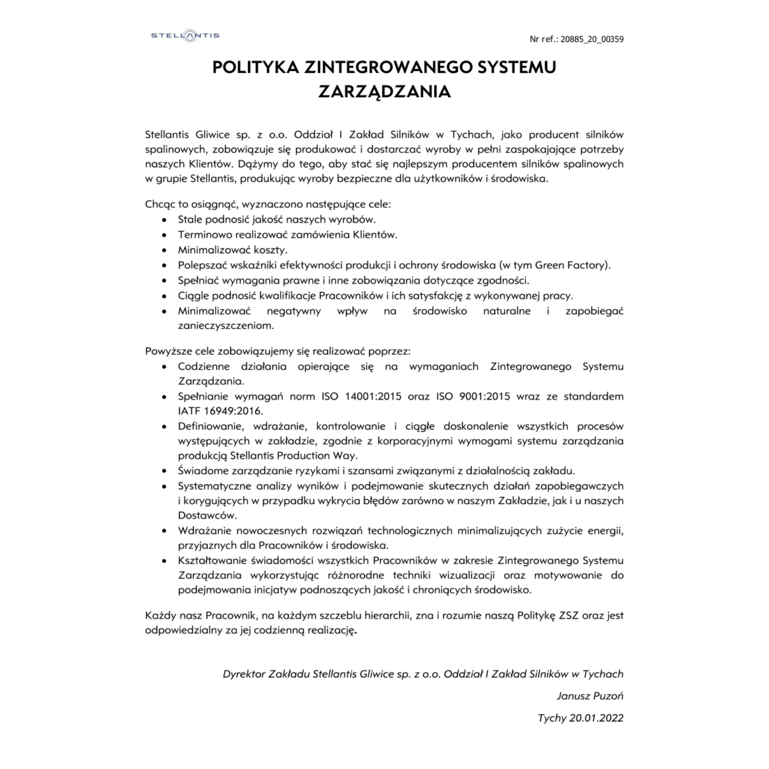### POLITYKA ZINTEGROWANEGO SYSTEMU ZARZĄDZANIA

Stellantis Gliwice sp. z o.o. Oddział I Zakład Silników w Tychach, jako producent silników spalinowych, zobowiązuje się produkować i dostarczać wyroby w pełni zaspokajające potrzeby naszych Klientów. Dążymy do tego, aby stać się najlepszym producentem silników spalinowych w grupie Stellantis, produkując wyroby bezpieczne dla użytkowników i środowiska.

Chcąc to osiągnąć, wyznaczono następujące cele:

- · Stale podnosić jakość naszych wyrobów.
- · Terminowo realizować zamówienia Klientów.
- · Minimalizować koszty.
- · Polepszać wskaźniki efektywności produkcji i ochrony środowiska (w tym Green Factory).
- · Spełniać wymagania prawne i inne zobowiązania dotyczące zgodności.
- · Ciggle podnosić kwalifikacje Pracowników i ich satysfakcję z wykonywanej pracy.
- Minimalizować negatywny wpływ na środowisko naturalne i zapobiegać zanieczyszczeniom.

Powyższe cele zobowiązujemy się realizować poprzez:

- Codzienne działania opierające się na wymaganiach Zintegrowanego Systemu Zarządzania.
- · Spełnianie wymagań norm ISO 14001:2015 oraz ISO 9001:2015 wraz ze standardem IATF 16949:2016.
- · Definiowanie, wdrażanie, kontrolowanie i ciągłe doskonalenie wszystkich procesów występujących w zakładzie, zgodnie z korporacyjnymi wymogami systemu zarządzania produkcja Stellantis Production Way.
- Swiadome zarządzanie ryzykami i szansami związanymi z działalnością zakładu.
- · Systematyczne analizy wyników i podejmowanie skutecznych działań zapobiegawczych i korygujących w przypadku wykrycia błędów zarówno w naszym Zakładzie, jak i u naszych Dostawców.
- · Wdrażanie nowoczesnych rozwiązań technologicznych minimalizujących zużycie energii, przyjaznych dla Pracowników i środowiska.
- · Kształtowanie świadomości wszystkich Pracowników w zakresie Zintegrowanego Systemu Zarządzania wykorzystując różnorodne techniki wizualizacji oraz motywowanie do podejmowania inicjatyw podnoszących jakość i chroniących środowisko.

Każdy nasz Pracownik, na każdym szczeblu hierarchii, zna i rozumie nasza Polityke ZSZ oraz jest odpowiedzialny za jej codzienną realizację.

Dyrektor Zakładu Stellantis Gliwice sp. z o.o. Oddział I Zakład Silników w Tychach

Janusz Puzoń

Tychy 20.01.2022